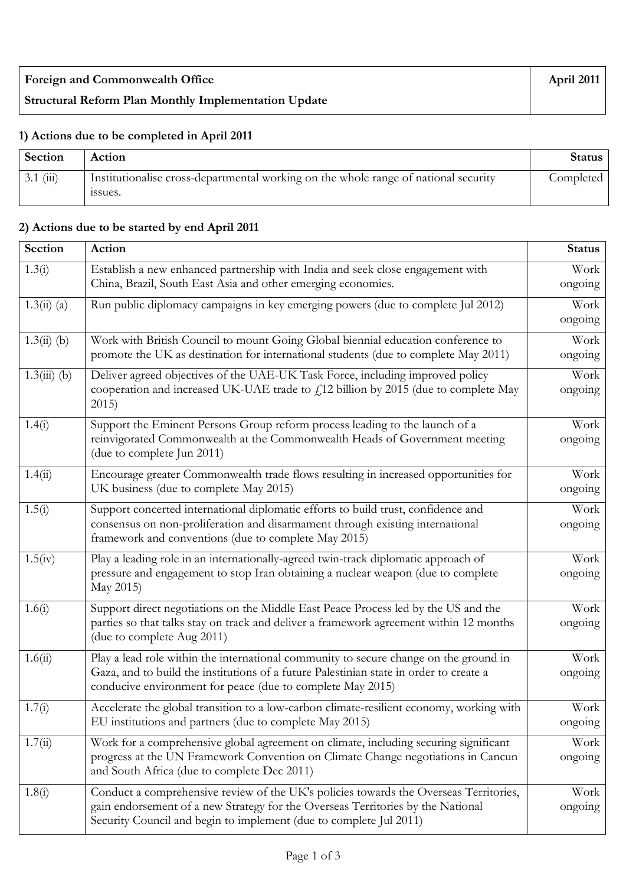| <b>Foreign and Commonwealth Office</b>                      | April 2011 |
|-------------------------------------------------------------|------------|
| <b>Structural Reform Plan Monthly Implementation Update</b> |            |

## **1) Actions due to be completed in April 2011**

| Section        | Action                                                                                         | <b>Status</b> |
|----------------|------------------------------------------------------------------------------------------------|---------------|
| $3.1 \; (iii)$ | Institutionalise cross-departmental working on the whole range of national security<br>issues. | Completed     |

## **2) Actions due to be started by end April 2011**

| Section        | Action                                                                                                                                                                                                                                         | <b>Status</b>   |  |
|----------------|------------------------------------------------------------------------------------------------------------------------------------------------------------------------------------------------------------------------------------------------|-----------------|--|
| 1.3(i)         | Establish a new enhanced partnership with India and seek close engagement with<br>China, Brazil, South East Asia and other emerging economies.                                                                                                 |                 |  |
| $1.3(ii)$ (a)  | Run public diplomacy campaigns in key emerging powers (due to complete Jul 2012)                                                                                                                                                               | Work<br>ongoing |  |
| $1.3(ii)$ (b)  | Work with British Council to mount Going Global biennial education conference to<br>promote the UK as destination for international students (due to complete May 2011)                                                                        |                 |  |
| $1.3(iii)$ (b) | Deliver agreed objectives of the UAE-UK Task Force, including improved policy<br>cooperation and increased UK-UAE trade to £12 billion by 2015 (due to complete May<br>2015)                                                                   |                 |  |
| 1.4(i)         | Support the Eminent Persons Group reform process leading to the launch of a<br>reinvigorated Commonwealth at the Commonwealth Heads of Government meeting<br>(due to complete Jun 2011)                                                        |                 |  |
| 1.4(ii)        | Encourage greater Commonwealth trade flows resulting in increased opportunities for<br>UK business (due to complete May 2015)                                                                                                                  | Work<br>ongoing |  |
| 1.5(i)         | Support concerted international diplomatic efforts to build trust, confidence and<br>consensus on non-proliferation and disarmament through existing international<br>framework and conventions (due to complete May 2015)                     |                 |  |
| 1.5(iv)        | Play a leading role in an internationally-agreed twin-track diplomatic approach of<br>pressure and engagement to stop Iran obtaining a nuclear weapon (due to complete<br>May 2015)                                                            |                 |  |
| 1.6(i)         | Support direct negotiations on the Middle East Peace Process led by the US and the<br>parties so that talks stay on track and deliver a framework agreement within 12 months<br>(due to complete Aug 2011)                                     |                 |  |
| 1.6(ii)        | Play a lead role within the international community to secure change on the ground in<br>Gaza, and to build the institutions of a future Palestinian state in order to create a<br>conducive environment for peace (due to complete May 2015)  | Work<br>ongoing |  |
| 1.7(i)         | Accelerate the global transition to a low-carbon climate-resilient economy, working with<br>EU institutions and partners (due to complete May 2015)                                                                                            |                 |  |
| 1.7(ii)        | Work for a comprehensive global agreement on climate, including securing significant<br>progress at the UN Framework Convention on Climate Change negotiations in Cancun<br>and South Africa (due to complete Dec 2011)                        | Work<br>ongoing |  |
| 1.8(i)         | Conduct a comprehensive review of the UK's policies towards the Overseas Territories,<br>gain endorsement of a new Strategy for the Overseas Territories by the National<br>Security Council and begin to implement (due to complete Jul 2011) | Work<br>ongoing |  |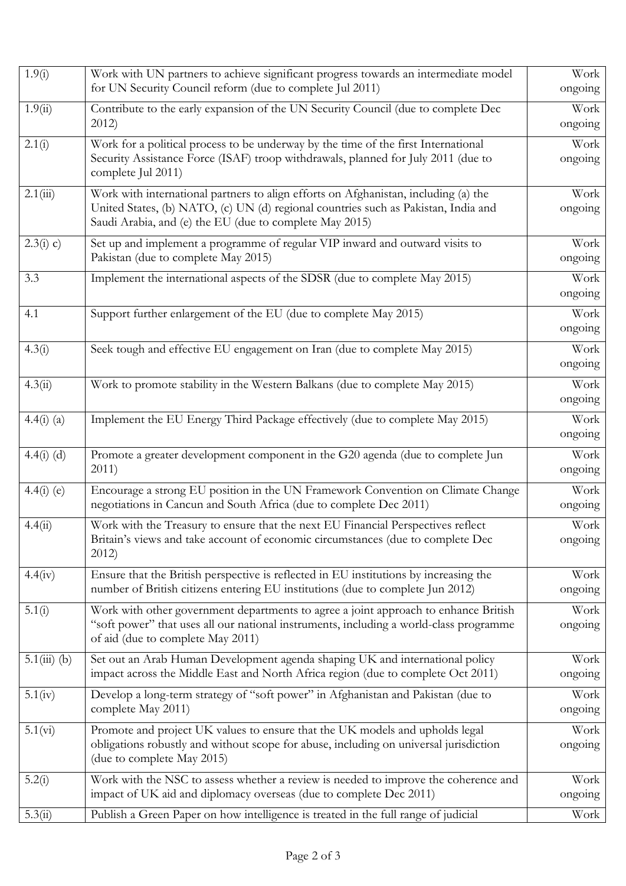| 1.9(i)         | Work with UN partners to achieve significant progress towards an intermediate model<br>for UN Security Council reform (due to complete Jul 2011)                                                                                     |                 |
|----------------|--------------------------------------------------------------------------------------------------------------------------------------------------------------------------------------------------------------------------------------|-----------------|
| 1.9(ii)        | Contribute to the early expansion of the UN Security Council (due to complete Dec<br>2012)                                                                                                                                           | Work<br>ongoing |
| 2.1(i)         | Work for a political process to be underway by the time of the first International<br>Security Assistance Force (ISAF) troop withdrawals, planned for July 2011 (due to<br>complete Jul 2011)                                        | Work<br>ongoing |
| 2.1(iii)       | Work with international partners to align efforts on Afghanistan, including (a) the<br>United States, (b) NATO, (c) UN (d) regional countries such as Pakistan, India and<br>Saudi Arabia, and (e) the EU (due to complete May 2015) |                 |
| 2.3(i) c)      | Set up and implement a programme of regular VIP inward and outward visits to<br>Pakistan (due to complete May 2015)                                                                                                                  | Work<br>ongoing |
| 3.3            | Implement the international aspects of the SDSR (due to complete May 2015)                                                                                                                                                           | Work<br>ongoing |
| 4.1            | Support further enlargement of the EU (due to complete May 2015)                                                                                                                                                                     | Work<br>ongoing |
| 4.3(i)         | Seek tough and effective EU engagement on Iran (due to complete May 2015)                                                                                                                                                            | Work<br>ongoing |
| 4.3(ii)        | Work to promote stability in the Western Balkans (due to complete May 2015)                                                                                                                                                          | Work<br>ongoing |
| $4.4(i)$ (a)   | Implement the EU Energy Third Package effectively (due to complete May 2015)                                                                                                                                                         | Work<br>ongoing |
| $4.4(i)$ (d)   | Promote a greater development component in the G20 agenda (due to complete Jun<br>2011)                                                                                                                                              | Work<br>ongoing |
| $4.4(i)$ (e)   | Encourage a strong EU position in the UN Framework Convention on Climate Change<br>negotiations in Cancun and South Africa (due to complete Dec 2011)                                                                                | Work<br>ongoing |
| 4.4(ii)        | Work with the Treasury to ensure that the next EU Financial Perspectives reflect<br>Britain's views and take account of economic circumstances (due to complete Dec<br>2012)                                                         | Work<br>ongoing |
| 4.4(iv)        | Ensure that the British perspective is reflected in EU institutions by increasing the<br>number of British citizens entering EU institutions (due to complete Jun 2012)                                                              | Work<br>ongoing |
| 5.1(i)         | Work with other government departments to agree a joint approach to enhance British<br>"soft power" that uses all our national instruments, including a world-class programme<br>of aid (due to complete May 2011)                   | Work<br>ongoing |
| $5.1(iii)$ (b) | Set out an Arab Human Development agenda shaping UK and international policy<br>impact across the Middle East and North Africa region (due to complete Oct 2011)                                                                     | Work<br>ongoing |
| 5.1(iv)        | Develop a long-term strategy of "soft power" in Afghanistan and Pakistan (due to<br>complete May 2011)                                                                                                                               | Work<br>ongoing |
| 5.1(vi)        | Promote and project UK values to ensure that the UK models and upholds legal<br>obligations robustly and without scope for abuse, including on universal jurisdiction<br>(due to complete May 2015)                                  | Work<br>ongoing |
| 5.2(i)         | Work with the NSC to assess whether a review is needed to improve the coherence and<br>impact of UK aid and diplomacy overseas (due to complete Dec 2011)                                                                            | Work<br>ongoing |
| 5.3(ii)        | Publish a Green Paper on how intelligence is treated in the full range of judicial                                                                                                                                                   | Work            |